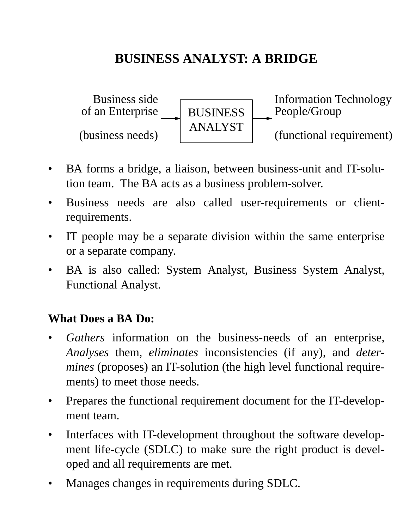## **BUSINESS ANALYST: A BRIDGE**



- BA forms a bridge, a liaison, between business-unit and IT-solution team. The BA acts as a business problem-solver.
- Business needs are also called user-requirements or clientrequirements.
- IT people may be a separate division within the same enterprise or a separate company.
- BA is also called: System Analyst, Business System Analyst, Functional Analyst.

#### **What Does a BA Do:**

- *Gathers* information on the business-needs of an enterprise, *Analyses* them, *eliminates* inconsistencies (if any), and *determines* (proposes) an IT-solution (the high level functional requirements) to meet those needs.
- Prepares the functional requirement document for the IT-development team.
- Interfaces with IT-development throughout the software development life-cycle (SDLC) to make sure the right product is developed and all requirements are met.
- Manages changes in requirements during SDLC.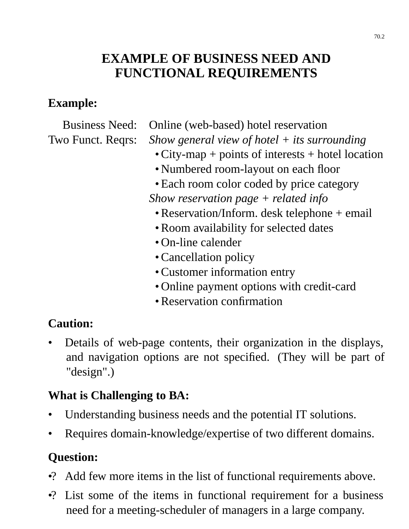### **EXAMPLE OF BUSINESS NEED AND FUNCTIONAL REQUIREMENTS**

#### **Example:**

Business Need: Online (web-based) hotel reservation

Two Funct. Reqrs: *Show general view of hotel + its surrounding* 

- City-map + points of interests + hotel location
- Numbered room-layout on each floor
- Each room color coded by price category

*Show reservation page + related info*

- Reservation/Inform. desk telephone + email
- Room availability for selected dates
- On-line calender
- Cancellation policy
- Customer information entry
- Online payment options with credit-card
- Reservation confirmation

#### **Caution:**

• Details of web-page contents, their organization in the displays, and navigation options are not specified. (They will be part of "design".)

### **What is Challenging to BA:**

- Understanding business needs and the potential IT solutions.
- Requires domain-knowledge/expertise of two different domains.

#### **Question:**

- •? Add few more items in the list of functional requirements above.
- •? List some of the items in functional requirement for a business need for a meeting-scheduler of managers in a large company.